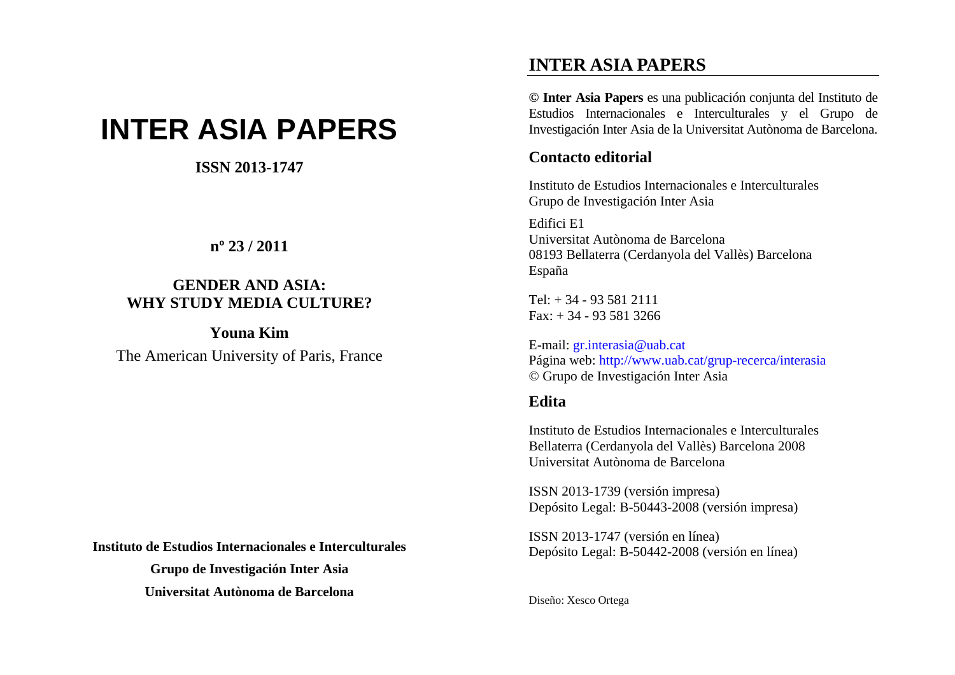# **INTER ASIA PAPERS**

## **ISSN 2013-1747**

## **<sup>n</sup>º 23 / 2011**

## **GENDER AND ASIA: WHY STUDY MEDIA CULTURE?**

**Youna Kim** The American University of Paris, France

**Instituto de Estudios Internacionales e Interculturales** 

**Grupo de Investigación Inter Asia Universitat Autònoma de Barcelona**

# **INTER ASIA PAPERS**

**© Inter Asia Papers** es una publicación conjunta del Instituto de Estudios Internacionales e Interculturales y el Grupo de Investigación Inter Asia de la Universitat Autònoma de Barcelona.

## **Contacto editorial**

Instituto de Estudios Internacionales e Interculturales Grupo de Investigación Inter Asia

Edifici E1 Universitat Autònoma de Barcelona 08193 Bellaterra (Cerdanyola del Vallès) Barcelona España

 $Tel: + 34 - 935812111$ Fax: + 34 - 93 581 3266

E-mail: gr.interasia@uab.cat Página web: http://www.uab.cat/grup-recerca/interasia © Grupo de Investigación Inter Asia

## **Edita**

Instituto de Estudios Internacionales e Interculturales Bellaterra (Cerdanyola del Vallès) Barcelona 2008 Universitat Autònoma de Barcelona

ISSN 2013-1739 (versión impresa) Depósito Legal: B-50443-2008 (versión impresa)

ISSN 2013-1747 (versión en línea) Depósito Legal: B-50442-2008 (versión en línea)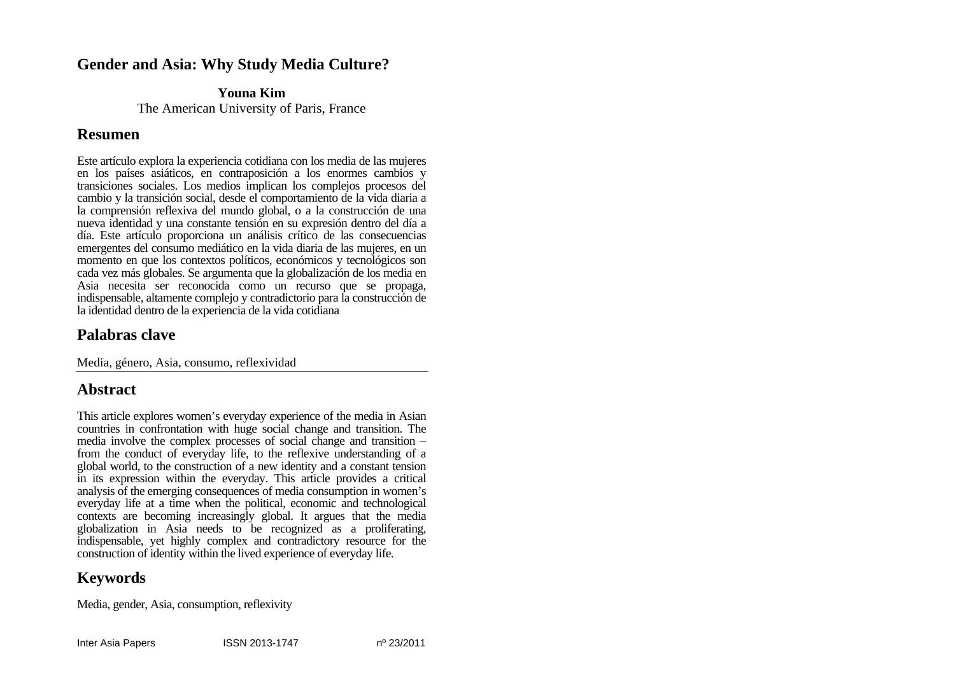#### **Gender and Asia: Why Study Media Culture?**

**Youna Kim** 

The American University of Paris, France

#### **Resumen**

Este artículo explora la experiencia cotidiana con los media de las mujeres en los países asiáticos, en contraposición a los enormes cambios y transiciones sociales. Los medios implican los complejos procesos del cambio y la transición social, desde el comportamiento de la vida diaria a la comprensión reflexiva del mundo global, o a la construcción de una nueva identidad y una constante tensión en su expresión dentro del día a día. Este artículo proporciona un análisis crítico de las consecuencias emergentes del consumo mediático en la vida diaria de las mujeres, en un momento en que los contextos políticos, económicos y tecnológicos son cada vez más globales. Se argumenta que la globalización de los media en Asia necesita ser reconocida como un recurso que se propaga, indispensable, altamente complejo y contradictorio para la construcción de la identidad dentro de la experiencia de la vida cotidiana

## **Palabras clave**

Media, género, Asia, consumo, reflexividad

## **Abstract**

This article explores women's everyday experience of the media in Asian countries in confrontation with huge social change and transition. The media involve the complex processes of social change and transition – from the conduct of everyday life, to the reflexive understanding of a global world, to the construction of a new identity and a constant tension in its expression within the everyday. This article provides a critical analysis of the emerging consequences of media consumption in women's everyday life at a time when the political, economic and technological contexts are becoming increasingly global. It argues that the media globalization in Asia needs to be recognized as a proliferating, indispensable, yet highly complex and contradictory resource for the construction of identity within the lived experience of everyday life.

# **Keywords**

Media, gender, Asia, consumption, reflexivity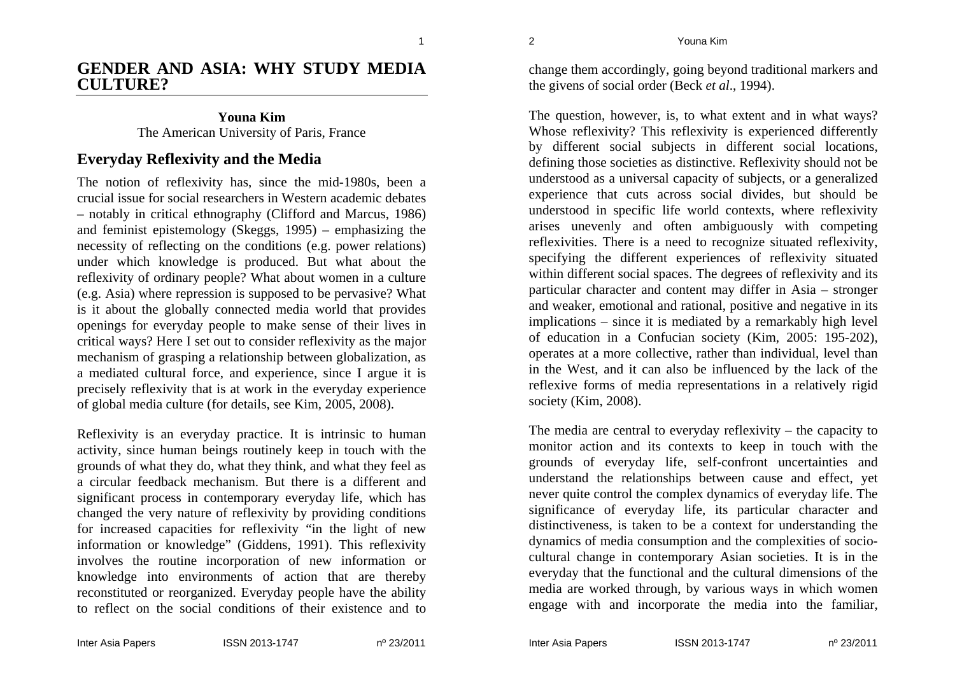1

#### **GENDER AND ASIA: WHY STUDY MEDIA CULTURE?**

**Youna Kim** The American University of Paris, France

### **Everyday Reflexivity and the Media**

The notion of reflexivity has, since the mid-1980s, been a crucial issue for social researchers in Western academic debates – notably in critical ethnography (Clifford and Marcus, 1986) and feminist epistemology (Skeggs, 1995) – emphasizing the necessity of reflecting on the conditions (e.g. power relations) under which knowledge is produced. But what about the reflexivity of ordinary people? What about women in a culture (e.g. Asia) where repression is supposed to be pervasive? What is it about the globally connected media world that provides openings for everyday people to make sense of their lives in critical ways? Here I set out to consider reflexivity as the major mechanism of grasping a relationship between globalization, as a mediated cultural force, and experience, since I argue it is precisely reflexivity that is at work in the everyday experience of global media culture (for details, see Kim, 2005, 2008).

Reflexivity is an everyday practice. It is intrinsic to human activity, since human beings routinely keep in touch with the grounds of what they do, what they think, and what they feel as a circular feedback mechanism. But there is a different and significant process in contemporary everyday life, which has changed the very nature of reflexivity by providing conditions for increased capacities for reflexivity "in the light of new information or knowledge" (Giddens, 1991). This reflexivity involves the routine incorporation of new information or knowledge into environments of action that are thereby reconstituted or reorganized. Everyday people have the ability to reflect on the social conditions of their existence and to

change them accordingly, going beyond traditional markers and the givens of social order (Beck *et al*., 1994).

The question, however, is, to what extent and in what ways? Whose reflexivity? This reflexivity is experienced differently by different social subjects in different social locations, defining those societies as distinctive. Reflexivity should not be understood as a universal capacity of subjects, or a generalized experience that cuts across social divides, but should be understood in specific life world contexts, where reflexivity arises unevenly and often ambiguously with competing reflexivities. There is a need to recognize situated reflexivity, specifying the different experiences of reflexivity situated within different social spaces. The degrees of reflexivity and its particular character and content may differ in Asia – stronger and weaker, emotional and rational, positive and negative in its implications – since it is mediated by a remarkably high level of education in a Confucian society (Kim, 2005: 195-202), operates at a more collective, rather than individual, level than in the West, and it can also be influenced by the lack of the reflexive forms of media representations in a relatively rigid society (Kim, 2008).

The media are central to everyday reflexivity – the capacity to monitor action and its contexts to keep in touch with the grounds of everyday life, self-confront uncertainties and understand the relationships between cause and effect, yet never quite control the complex dynamics of everyday life. The significance of everyday life, its particular character and distinctiveness, is taken to be a context for understanding the dynamics of media consumption and the complexities of sociocultural change in contemporary Asian societies. It is in the everyday that the functional and the cultural dimensions of the media are worked through, by various ways in which women engage with and incorporate the media into the familiar,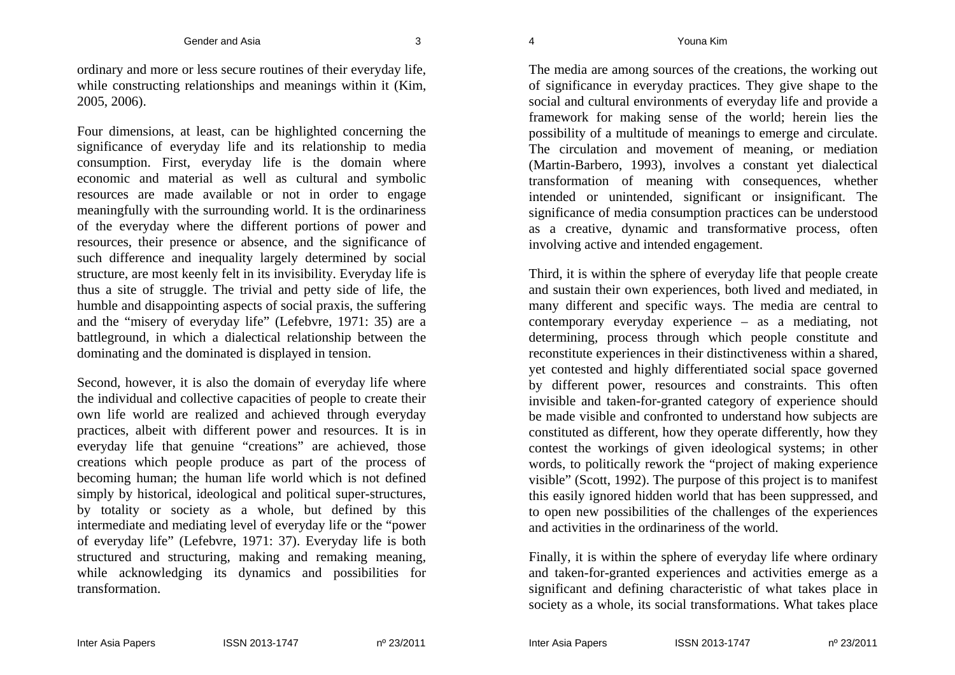ordinary and more or less secure routines of their everyday life, while constructing relationships and meanings within it (Kim, 2005, 2006).

Four dimensions, at least, can be highlighted concerning the significance of everyday life and its relationship to media consumption. First, everyday life is the domain where economic and material as well as cultural and symbolic resources are made available or not in order to engage meaningfully with the surrounding world. It is the ordinariness of the everyday where the different portions of power and resources, their presence or absence, and the significance of such difference and inequality largely determined by social structure, are most keenly felt in its invisibility. Everyday life is thus a site of struggle. The trivial and petty side of life, the humble and disappointing aspects of social praxis, the suffering and the "misery of everyday life" (Lefebvre, 1971: 35) are a battleground, in which a dialectical relationship between the dominating and the dominated is displayed in tension.

Second, however, it is also the domain of everyday life where the individual and collective capacities of people to create their own life world are realized and achieved through everyday practices, albeit with different power and resources. It is in everyday life that genuine "creations" are achieved, those creations which people produce as part of the process of becoming human; the human life world which is not defined simply by historical, ideological and political super-structures, by totality or society as a whole, but defined by this intermediate and mediating level of everyday life or the "power of everyday life" (Lefebvre, 1971: 37). Everyday life is both structured and structuring, making and remaking meaning, while acknowledging its dynamics and possibilities for transformation.

The media are among sources of the creations, the working out of significance in everyday practices. They give shape to the social and cultural environments of everyday life and provide a framework for making sense of the world; herein lies the possibility of a multitude of meanings to emerge and circulate. The circulation and movement of meaning, or mediation (Martin-Barbero, 1993), involves a constant yet dialectical transformation of meaning with consequences, whether intended or unintended, significant or insignificant. The significance of media consumption practices can be understood as a creative, dynamic and transformative process, often involving active and intended engagement.

Third, it is within the sphere of everyday life that people create and sustain their own experiences, both lived and mediated, in many different and specific ways. The media are central to contemporary everyday experience – as a mediating, not determining, process through which people constitute and reconstitute experiences in their distinctiveness within a shared, yet contested and highly differentiated social space governed by different power, resources and constraints. This often invisible and taken-for-granted category of experience should be made visible and confronted to understand how subjects are constituted as different, how they operate differently, how they contest the workings of given ideological systems; in other words, to politically rework the "project of making experience visible" (Scott, 1992). The purpose of this project is to manifest this easily ignored hidden world that has been suppressed, and to open new possibilities of the challenges of the experiences and activities in the ordinariness of the world.

Finally, it is within the sphere of everyday life where ordinary and taken-for-granted experiences and activities emerge as a significant and defining characteristic of what takes place in society as a whole, its social transformations. What takes place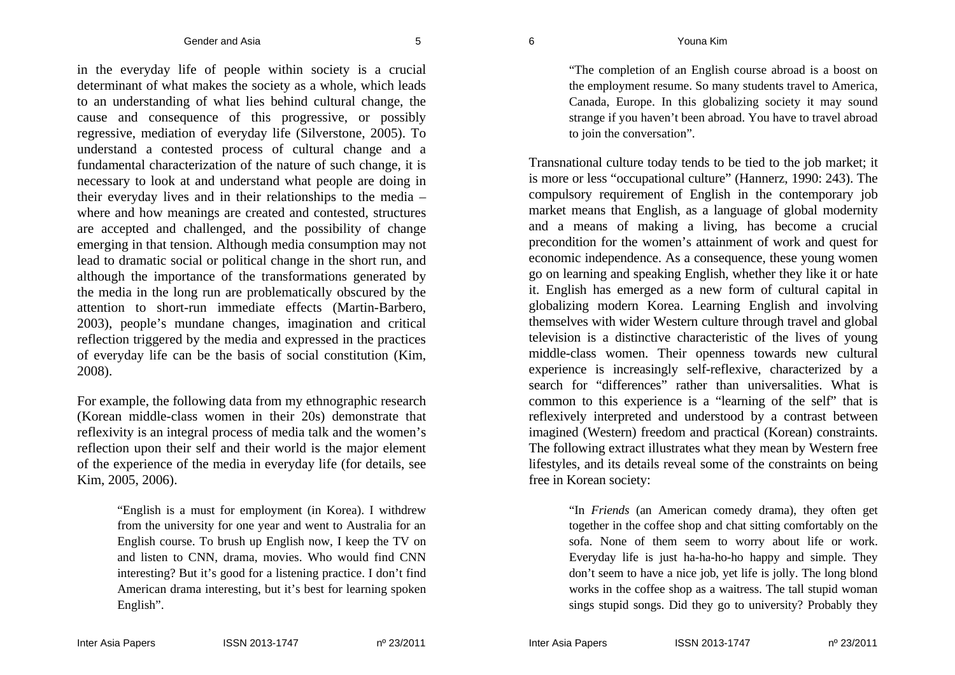in the everyday life of people within society is a crucial determinant of what makes the society as a whole, which leads to an understanding of what lies behind cultural change, the cause and consequence of this progressive, or possibly regressive, mediation of everyday life (Silverstone, 2005). To understand a contested process of cultural change and a fundamental characterization of the nature of such change, it is necessary to look at and understand what people are doing in their everyday lives and in their relationships to the media – where and how meanings are created and contested, structures are accepted and challenged, and the possibility of change emerging in that tension. Although media consumption may not lead to dramatic social or political change in the short run, and although the importance of the transformations generated by the media in the long run are problematically obscured by the attention to short-run immediate effects (Martin-Barbero, 2003), people's mundane changes, imagination and critical reflection triggered by the media and expressed in the practices of everyday life can be the basis of social constitution (Kim, 2008).

For example, the following data from my ethnographic research (Korean middle-class women in their 20s) demonstrate that reflexivity is an integral process of media talk and the women's reflection upon their self and their world is the major element of the experience of the media in everyday life (for details, see Kim, 2005, 2006).

> "English is a must for employment (in Korea). I withdrew from the university for one year and went to Australia for an English course. To brush up English now, I keep the TV on and listen to CNN, drama, movies. Who would find CNN interesting? But it's good for a listening practice. I don't find American drama interesting, but it's best for learning spoken English".

"The completion of an English course abroad is a boost on the employment resume. So many students travel to America, Canada, Europe. In this globalizing society it may sound strange if you haven't been abroad. You have to travel abroad to join the conversation".

Transnational culture today tends to be tied to the job market; it is more or less "occupational culture" (Hannerz, 1990: 243). The compulsory requirement of English in the contemporary job market means that English, as a language of global modernity and a means of making a living, has become a crucial precondition for the women's attainment of work and quest for economic independence. As a consequence, these young women go on learning and speaking English, whether they like it or hate it. English has emerged as a new form of cultural capital in globalizing modern Korea. Learning English and involving themselves with wider Western culture through travel and global television is a distinctive characteristic of the lives of young middle-class women. Their openness towards new cultural experience is increasingly self-reflexive, characterized by a search for "differences" rather than universalities. What is common to this experience is a "learning of the self" that is reflexively interpreted and understood by a contrast between imagined (Western) freedom and practical (Korean) constraints. The following extract illustrates what they mean by Western free lifestyles, and its details reveal some of the constraints on being free in Korean society:

> "In *Friends* (an American comedy drama), they often get together in the coffee shop and chat sitting comfortably on the sofa. None of them seem to worry about life or work. Everyday life is just ha-ha-ho-ho happy and simple. They don't seem to have a nice job, yet life is jolly. The long blond works in the coffee shop as a waitress. The tall stupid woman sings stupid songs. Did they go to university? Probably they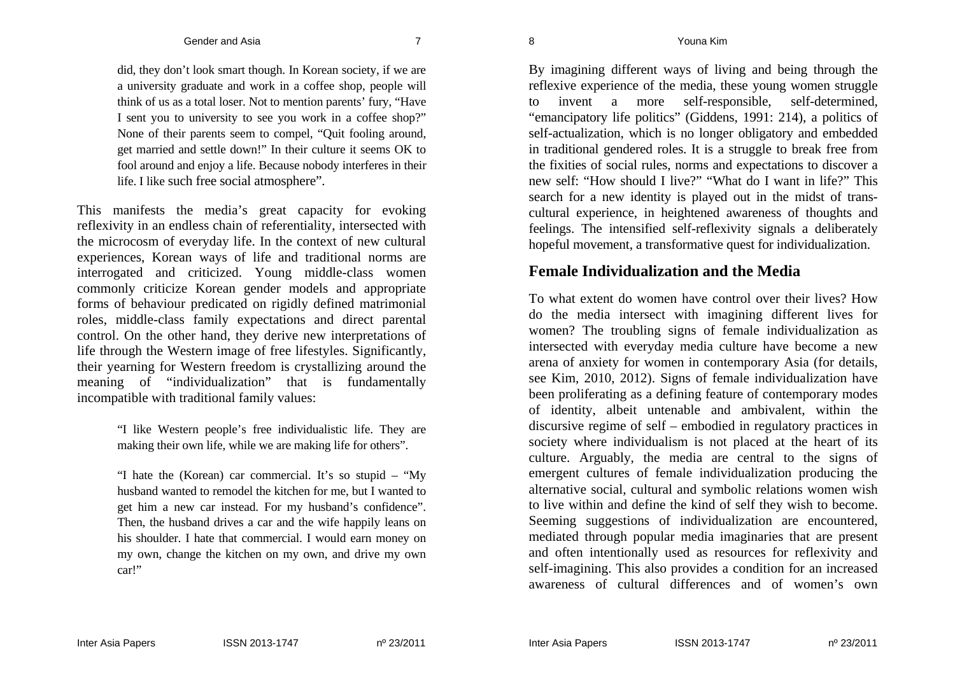did, they don't look smart though. In Korean society, if we are a university graduate and work in a coffee shop, people will think of us as a total loser. Not to mention parents' fury, "Have I sent you to university to see you work in a coffee shop?" None of their parents seem to compel, "Quit fooling around, get married and settle down!" In their culture it seems OK to fool around and enjoy a life. Because nobody interferes in their life. I like such free social atmosphere".

This manifests the media's great capacity for evoking reflexivity in an endless chain of referentiality, intersected with the microcosm of everyday life. In the context of new cultural experiences, Korean ways of life and traditional norms are interrogated and criticized. Young middle-class women commonly criticize Korean gender models and appropriate forms of behaviour predicated on rigidly defined matrimonial roles, middle-class family expectations and direct parental control. On the other hand, they derive new interpretations of life through the Western image of free lifestyles. Significantly, their yearning for Western freedom is crystallizing around the meaning of "individualization" that is fundamentally incompatible with traditional family values:

> "I like Western people's free individualistic life. They are making their own life, while we are making life for others".

> "I hate the (Korean) car commercial. It's so stupid – "My husband wanted to remodel the kitchen for me, but I wanted to get him a new car instead. For my husband's confidence". Then, the husband drives a car and the wife happily leans on his shoulder. I hate that commercial. I would earn money on my own, change the kitchen on my own, and drive my own car!"

By imagining different ways of living and being through the reflexive experience of the media, these young women struggle to invent a more self-responsible, self-determined, "emancipatory life politics" (Giddens, 1991: 214), a politics of self-actualization, which is no longer obligatory and embedded in traditional gendered roles. It is a struggle to break free from the fixities of social rules, norms and expectations to discover a new self: "How should I live?" "What do I want in life?" This search for a new identity is played out in the midst of transcultural experience, in heightened awareness of thoughts and feelings. The intensified self-reflexivity signals a deliberately hopeful movement, a transformative quest for individualization.

#### **Female Individualization and the Media**

To what extent do women have control over their lives? How do the media intersect with imagining different lives for women? The troubling signs of female individualization as intersected with everyday media culture have become a new arena of anxiety for women in contemporary Asia (for details, see Kim, 2010, 2012). Signs of female individualization have been proliferating as a defining feature of contemporary modes of identity, albeit untenable and ambivalent, within the discursive regime of self – embodied in regulatory practices in society where individualism is not placed at the heart of its culture. Arguably, the media are central to the signs of emergent cultures of female individualization producing the alternative social, cultural and symbolic relations women wish to live within and define the kind of self they wish to become. Seeming suggestions of individualization are encountered, mediated through popular media imaginaries that are present and often intentionally used as resources for reflexivity and self-imagining. This also provides a condition for an increased awareness of cultural differences and of women's own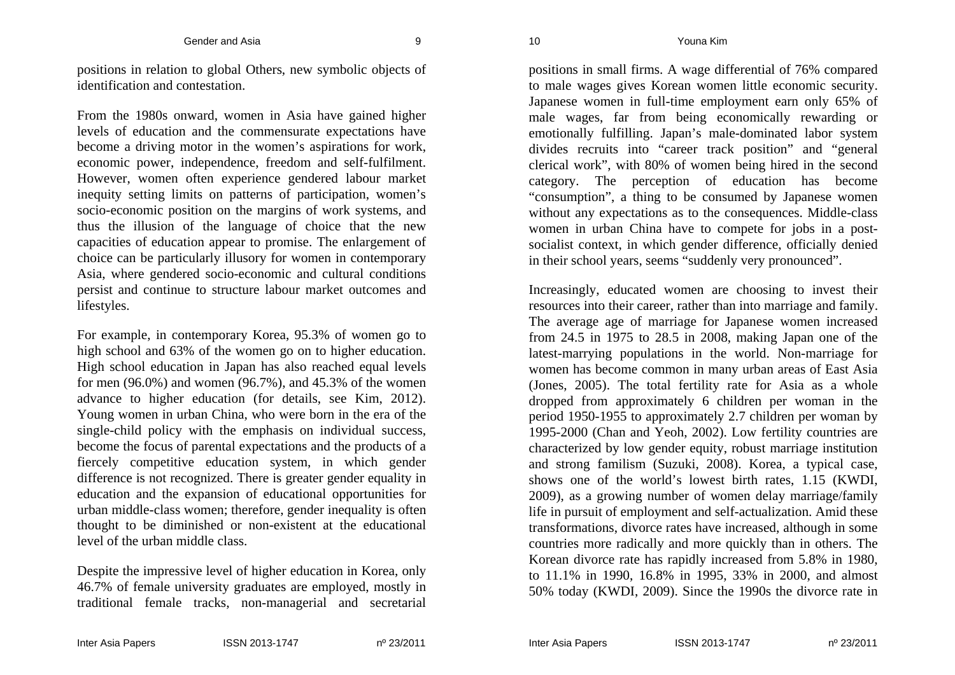positions in relation to global Others, new symbolic objects of identification and contestation.

From the 1980s onward, women in Asia have gained higher levels of education and the commensurate expectations have become a driving motor in the women's aspirations for work, economic power, independence, freedom and self-fulfilment. However, women often experience gendered labour market inequity setting limits on patterns of participation, women's socio-economic position on the margins of work systems, and thus the illusion of the language of choice that the new capacities of education appear to promise. The enlargement of choice can be particularly illusory for women in contemporary Asia, where gendered socio-economic and cultural conditions persist and continue to structure labour market outcomes and lifestyles.

For example, in contemporary Korea, 95.3% of women go to high school and 63% of the women go on to higher education. High school education in Japan has also reached equal levels for men (96.0%) and women (96.7%), and 45.3% of the women advance to higher education (for details, see Kim, 2012). Young women in urban China, who were born in the era of the single-child policy with the emphasis on individual success, become the focus of parental expectations and the products of a fiercely competitive education system, in which gender difference is not recognized. There is greater gender equality in education and the expansion of educational opportunities for urban middle-class women; therefore, gender inequality is often thought to be diminished or non-existent at the educational level of the urban middle class.

Despite the impressive level of higher education in Korea, only 46.7% of female university graduates are employed, mostly in traditional female tracks, non-managerial and secretarial

positions in small firms. A wage differential of 76% compared to male wages gives Korean women little economic security. Japanese women in full-time employment earn only 65% of male wages, far from being economically rewarding or emotionally fulfilling. Japan's male-dominated labor system divides recruits into "career track position" and "general clerical work", with 80% of women being hired in the second category. The perception of education has become "consumption", a thing to be consumed by Japanese women without any expectations as to the consequences. Middle-class women in urban China have to compete for jobs in a postsocialist context, in which gender difference, officially denied in their school years, seems "suddenly very pronounced".

Increasingly, educated women are choosing to invest their resources into their career, rather than into marriage and family. The average age of marriage for Japanese women increased from 24.5 in 1975 to 28.5 in 2008, making Japan one of the latest-marrying populations in the world. Non-marriage for women has become common in many urban areas of East Asia (Jones, 2005). The total fertility rate for Asia as a whole dropped from approximately 6 children per woman in the period 1950-1955 to approximately 2.7 children per woman by 1995-2000 (Chan and Yeoh, 2002). Low fertility countries are characterized by low gender equity, robust marriage institution and strong familism (Suzuki, 2008). Korea, a typical case, shows one of the world's lowest birth rates, 1.15 (KWDI, 2009), as a growing number of women delay marriage/family life in pursuit of employment and self-actualization. Amid these transformations, divorce rates have increased, although in some countries more radically and more quickly than in others. The Korean divorce rate has rapidly increased from 5.8% in 1980, to 11.1% in 1990, 16.8% in 1995, 33% in 2000, and almost 50% today (KWDI, 2009). Since the 1990s the divorce rate in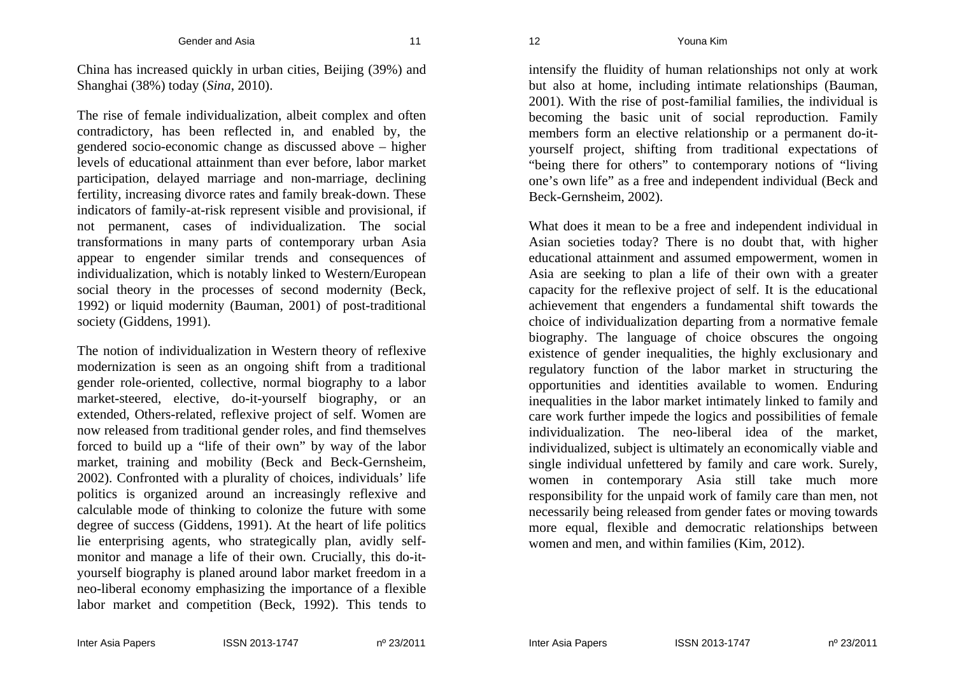China has increased quickly in urban cities, Beijing (39%) and Shanghai (38%) today (*Sina*, 2010).

The rise of female individualization, albeit complex and often contradictory, has been reflected in, and enabled by, the gendered socio-economic change as discussed above – higher levels of educational attainment than ever before, labor market participation, delayed marriage and non-marriage, declining fertility, increasing divorce rates and family break-down. These indicators of family-at-risk represent visible and provisional, if not permanent, cases of individualization. The social transformations in many parts of contemporary urban Asia appear to engender similar trends and consequences of individualization, which is notably linked to Western/European social theory in the processes of second modernity (Beck, 1992) or liquid modernity (Bauman, 2001) of post-traditional society (Giddens, 1991).

The notion of individualization in Western theory of reflexive modernization is seen as an ongoing shift from a traditional gender role-oriented, collective, normal biography to a labor market-steered, elective, do-it-yourself biography, or an extended, Others-related, reflexive project of self. Women are now released from traditional gender roles, and find themselves forced to build up a "life of their own" by way of the labor market, training and mobility (Beck and Beck-Gernsheim, 2002). Confronted with a plurality of choices, individuals' life politics is organized around an increasingly reflexive and calculable mode of thinking to colonize the future with some degree of success (Giddens, 1991). At the heart of life politics lie enterprising agents, who strategically plan, avidly selfmonitor and manage a life of their own. Crucially, this do-ityourself biography is planed around labor market freedom in a neo-liberal economy emphasizing the importance of a flexible labor market and competition (Beck, 1992). This tends to

intensify the fluidity of human relationships not only at work but also at home, including intimate relationships (Bauman, 2001). With the rise of post-familial families, the individual is becoming the basic unit of social reproduction. Family members form an elective relationship or a permanent do-ityourself project, shifting from traditional expectations of "being there for others" to contemporary notions of "living one's own life" as a free and independent individual (Beck and Beck-Gernsheim, 2002).

What does it mean to be a free and independent individual in Asian societies today? There is no doubt that, with higher educational attainment and assumed empowerment, women in Asia are seeking to plan a life of their own with a greater capacity for the reflexive project of self. It is the educational achievement that engenders a fundamental shift towards the choice of individualization departing from a normative female biography. The language of choice obscures the ongoing existence of gender inequalities, the highly exclusionary and regulatory function of the labor market in structuring the opportunities and identities available to women. Enduring inequalities in the labor market intimately linked to family and care work further impede the logics and possibilities of female individualization. The neo-liberal idea of the market, individualized, subject is ultimately an economically viable and single individual unfettered by family and care work. Surely, women in contemporary Asia still take much more responsibility for the unpaid work of family care than men, not necessarily being released from gender fates or moving towards more equal, flexible and democratic relationships between women and men, and within families (Kim, 2012).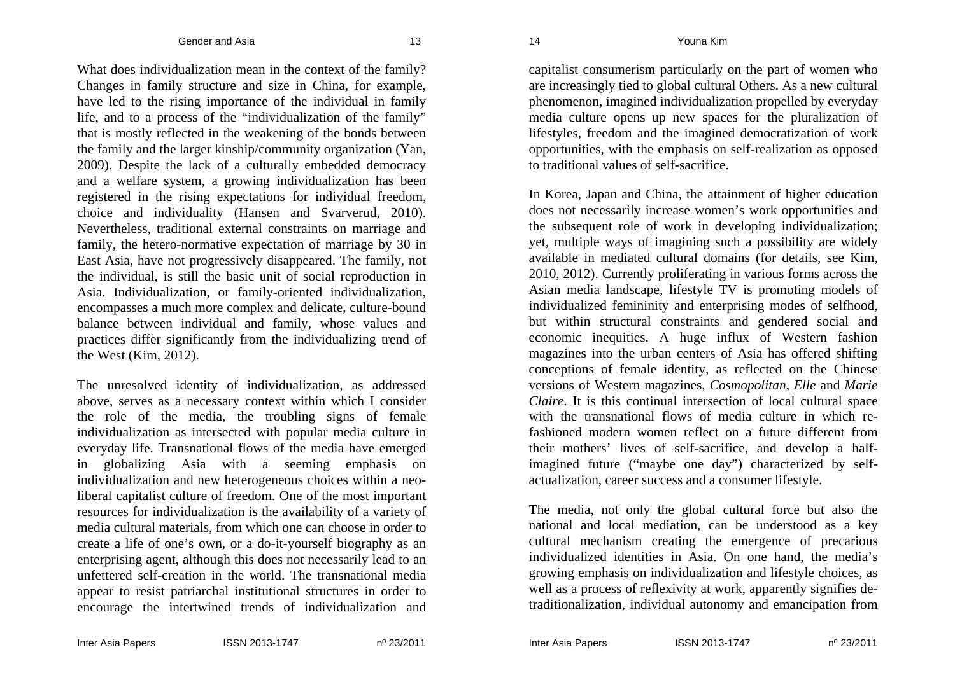capitalist consumerism particularly on the part of women who are increasingly tied to global cultural Others. As a new cultural phenomenon, imagined individualization propelled by everyday media culture opens up new spaces for the pluralization of lifestyles, freedom and the imagined democratization of work opportunities, with the emphasis on self-realization as opposed to traditional values of self-sacrifice.

In Korea, Japan and China, the attainment of higher education does not necessarily increase women's work opportunities and the subsequent role of work in developing individualization; yet, multiple ways of imagining such a possibility are widely available in mediated cultural domains (for details, see Kim, 2010, 2012). Currently proliferating in various forms across the Asian media landscape, lifestyle TV is promoting models of individualized femininity and enterprising modes of selfhood, but within structural constraints and gendered social and economic inequities. A huge influx of Western fashion magazines into the urban centers of Asia has offered shifting conceptions of female identity, as reflected on the Chinese versions of Western magazines, *Cosmopolitan*, *Elle* and *Marie Claire*. It is this continual intersection of local cultural space with the transnational flows of media culture in which refashioned modern women reflect on a future different from their mothers' lives of self-sacrifice, and develop a halfimagined future ("maybe one day") characterized by selfactualization, career success and a consumer lifestyle.

The media, not only the global cultural force but also the national and local mediation, can be understood as a key cultural mechanism creating the emergence of precarious individualized identities in Asia. On one hand, the media's growing emphasis on individualization and lifestyle choices, as well as a process of reflexivity at work, apparently signifies detraditionalization, individual autonomy and emancipation from

What does individualization mean in the context of the family? Changes in family structure and size in China, for example, have led to the rising importance of the individual in family life, and to a process of the "individualization of the family" that is mostly reflected in the weakening of the bonds between the family and the larger kinship/community organization (Yan, 2009). Despite the lack of a culturally embedded democracy and a welfare system, a growing individualization has been registered in the rising expectations for individual freedom, choice and individuality (Hansen and Svarverud, 2010). Nevertheless, traditional external constraints on marriage and family, the hetero-normative expectation of marriage by 30 in East Asia, have not progressively disappeared. The family, not the individual, is still the basic unit of social reproduction in Asia. Individualization, or family-oriented individualization, encompasses a much more complex and delicate, culture-bound balance between individual and family, whose values and practices differ significantly from the individualizing trend of the West (Kim, 2012).

The unresolved identity of individualization, as addressed above, serves as a necessary context within which I consider the role of the media, the troubling signs of female individualization as intersected with popular media culture in everyday life. Transnational flows of the media have emerged in globalizing Asia with a seeming emphasis on individualization and new heterogeneous choices within a neoliberal capitalist culture of freedom. One of the most important resources for individualization is the availability of a variety of media cultural materials, from which one can choose in order to create a life of one's own, or a do-it-yourself biography as an enterprising agent, although this does not necessarily lead to an unfettered self-creation in the world. The transnational media appear to resist patriarchal institutional structures in order to encourage the intertwined trends of individualization and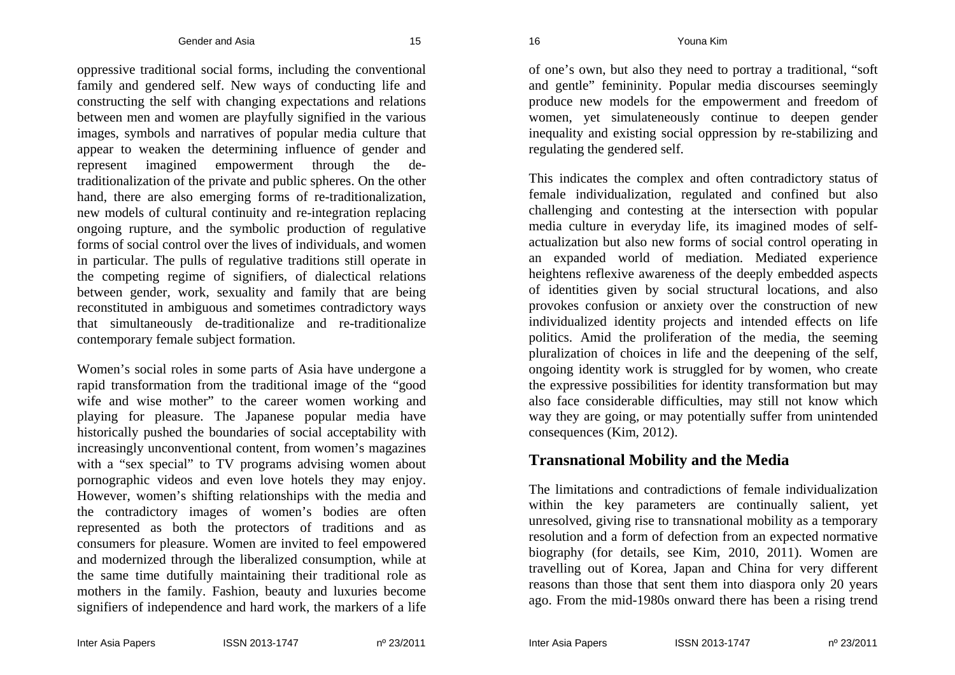oppressive traditional social forms, including the conventional family and gendered self. New ways of conducting life and constructing the self with changing expectations and relations between men and women are playfully signified in the various images, symbols and narratives of popular media culture that appear to weaken the determining influence of gender and represent imagined empowerment through the detraditionalization of the private and public spheres. On the other hand, there are also emerging forms of re-traditionalization, new models of cultural continuity and re-integration replacing ongoing rupture, and the symbolic production of regulative forms of social control over the lives of individuals, and women in particular. The pulls of regulative traditions still operate in

the competing regime of signifiers, of dialectical relations between gender, work, sexuality and family that are being reconstituted in ambiguous and sometimes contradictory ways that simultaneously de-traditionalize and re-traditionalize contemporary female subject formation.

Women's social roles in some parts of Asia have undergone a rapid transformation from the traditional image of the "good wife and wise mother" to the career women working and playing for pleasure. The Japanese popular media have historically pushed the boundaries of social acceptability with increasingly unconventional content, from women's magazines with a "sex special" to TV programs advising women about pornographic videos and even love hotels they may enjoy. However, women's shifting relationships with the media and the contradictory images of women's bodies are often represented as both the protectors of traditions and as consumers for pleasure. Women are invited to feel empowered and modernized through the liberalized consumption, while at the same time dutifully maintaining their traditional role as mothers in the family. Fashion, beauty and luxuries become signifiers of independence and hard work, the markers of a life

of one's own, but also they need to portray a traditional, "soft and gentle" femininity. Popular media discourses seemingly produce new models for the empowerment and freedom of women, yet simulateneously continue to deepen gender inequality and existing social oppression by re-stabilizing and regulating the gendered self.

This indicates the complex and often contradictory status of female individualization, regulated and confined but also challenging and contesting at the intersection with popular media culture in everyday life, its imagined modes of selfactualization but also new forms of social control operating in an expanded world of mediation. Mediated experience heightens reflexive awareness of the deeply embedded aspects of identities given by social structural locations, and also provokes confusion or anxiety over the construction of new individualized identity projects and intended effects on life politics. Amid the proliferation of the media, the seeming pluralization of choices in life and the deepening of the self, ongoing identity work is struggled for by women, who create the expressive possibilities for identity transformation but may also face considerable difficulties, may still not know which way they are going, or may potentially suffer from unintended consequences (Kim, 2012).

#### **Transnational Mobility and the Media**

The limitations and contradictions of female individualization within the key parameters are continually salient, yet unresolved, giving rise to transnational mobility as a temporary resolution and a form of defection from an expected normative biography (for details, see Kim, 2010, 2011). Women are travelling out of Korea, Japan and China for very different reasons than those that sent them into diaspora only 20 years ago. From the mid-1980s onward there has been a rising trend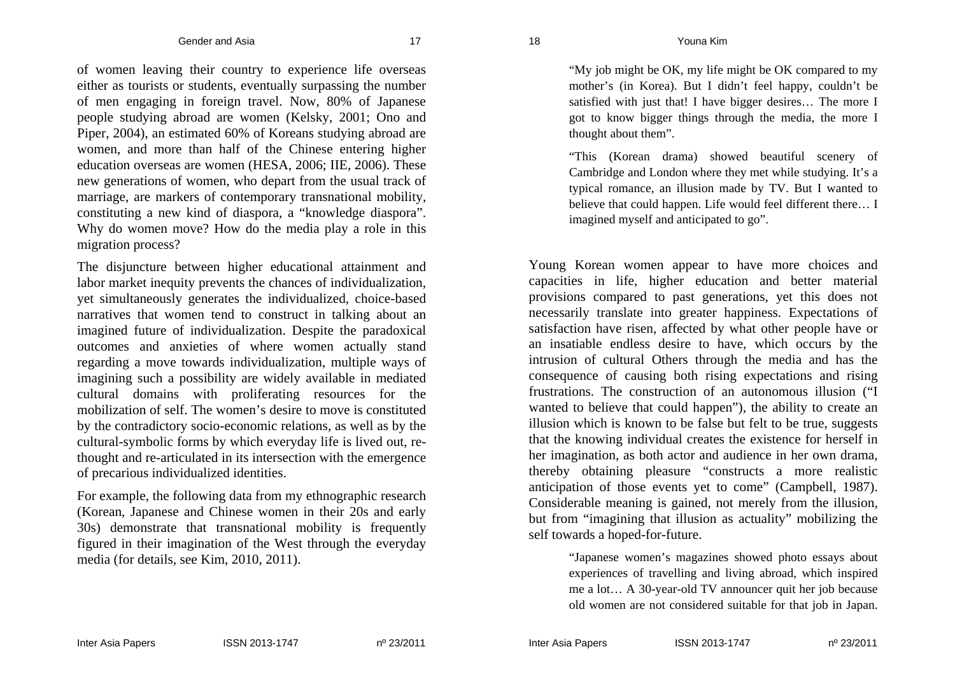of women leaving their country to experience life overseas either as tourists or students, eventually surpassing the number of men engaging in foreign travel. Now, 80% of Japanese people studying abroad are women (Kelsky, 2001; Ono and Piper, 2004), an estimated 60% of Koreans studying abroad are women, and more than half of the Chinese entering higher education overseas are women (HESA, 2006; IIE, 2006). These new generations of women, who depart from the usual track of marriage, are markers of contemporary transnational mobility, constituting a new kind of diaspora, a "knowledge diaspora". Why do women move? How do the media play a role in this migration process?

The disjuncture between higher educational attainment and labor market inequity prevents the chances of individualization, yet simultaneously generates the individualized, choice-based narratives that women tend to construct in talking about an imagined future of individualization. Despite the paradoxical outcomes and anxieties of where women actually stand regarding a move towards individualization, multiple ways of imagining such a possibility are widely available in mediated cultural domains with proliferating resources for the mobilization of self. The women's desire to move is constituted by the contradictory socio-economic relations, as well as by the cultural-symbolic forms by which everyday life is lived out, rethought and re-articulated in its intersection with the emergence of precarious individualized identities.

For example, the following data from my ethnographic research (Korean, Japanese and Chinese women in their 20s and early 30s) demonstrate that transnational mobility is frequently figured in their imagination of the West through the everyday media (for details, see Kim, 2010, 2011).

"My job might be OK, my life might be OK compared to my mother's (in Korea). But I didn't feel happy, couldn't be satisfied with just that! I have bigger desires… The more I got to know bigger things through the media, the more I thought about them".

"This (Korean drama) showed beautiful scenery of Cambridge and London where they met while studying. It's a typical romance, an illusion made by TV. But I wanted to believe that could happen. Life would feel different there… I imagined myself and anticipated to go".

Young Korean women appear to have more choices and capacities in life, higher education and better material provisions compared to past generations, yet this does not necessarily translate into greater happiness. Expectations of satisfaction have risen, affected by what other people have or an insatiable endless desire to have, which occurs by the intrusion of cultural Others through the media and has the consequence of causing both rising expectations and rising frustrations. The construction of an autonomous illusion ("I wanted to believe that could happen"), the ability to create an illusion which is known to be false but felt to be true, suggests that the knowing individual creates the existence for herself in her imagination, as both actor and audience in her own drama, thereby obtaining pleasure "constructs a more realistic anticipation of those events yet to come" (Campbell, 1987). Considerable meaning is gained, not merely from the illusion, but from "imagining that illusion as actuality" mobilizing the self towards a hoped-for-future.

> "Japanese women's magazines showed photo essays about experiences of travelling and living abroad, which inspired me a lot… A 30-year-old TV announcer quit her job because old women are not considered suitable for that job in Japan.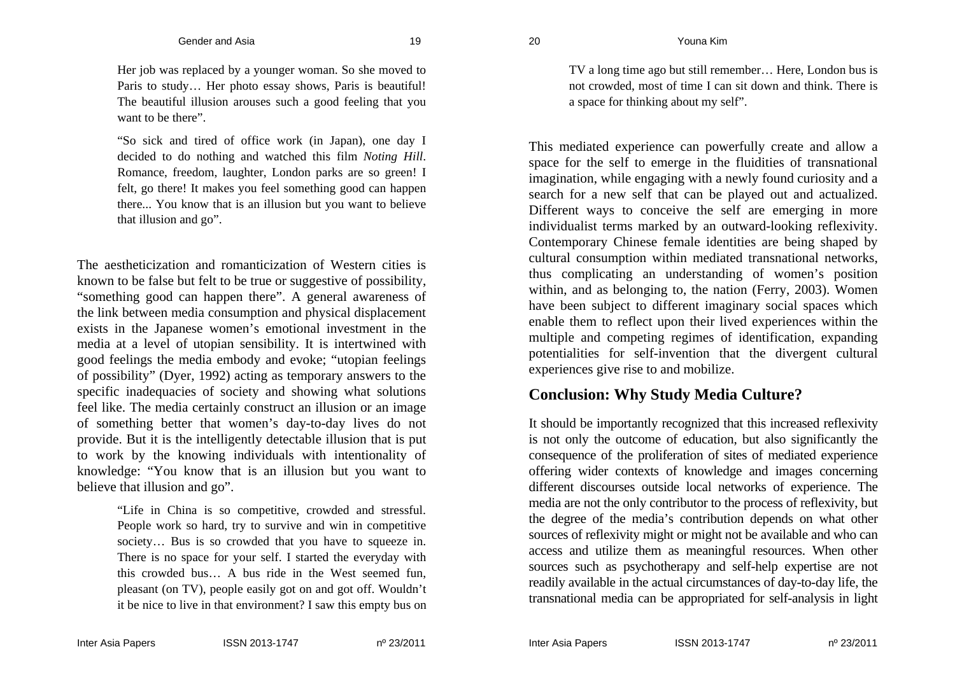Her job was replaced by a younger woman. So she moved to Paris to study… Her photo essay shows, Paris is beautiful! The beautiful illusion arouses such a good feeling that you want to be there".

"So sick and tired of office work (in Japan), one day I decided to do nothing and watched this film *Noting Hill*. Romance, freedom, laughter, London parks are so green! I felt, go there! It makes you feel something good can happen there... You know that is an illusion but you want to believe that illusion and go".

The aestheticization and romanticization of Western cities is known to be false but felt to be true or suggestive of possibility, "something good can happen there". A general awareness of the link between media consumption and physical displacement exists in the Japanese women's emotional investment in the media at a level of utopian sensibility. It is intertwined with good feelings the media embody and evoke; "utopian feelings of possibility" (Dyer, 1992) acting as temporary answers to the specific inadequacies of society and showing what solutions feel like. The media certainly construct an illusion or an image of something better that women's day-to-day lives do not provide. But it is the intelligently detectable illusion that is put to work by the knowing individuals with intentionality of knowledge: "You know that is an illusion but you want to believe that illusion and go".

> "Life in China is so competitive, crowded and stressful. People work so hard, try to survive and win in competitive society... Bus is so crowded that you have to squeeze in. There is no space for your self. I started the everyday with this crowded bus… A bus ride in the West seemed fun, pleasant (on TV), people easily got on and got off. Wouldn't it be nice to live in that environment? I saw this empty bus on

TV a long time ago but still remember… Here, London bus is not crowded, most of time I can sit down and think. There is a space for thinking about my self".

20 Youna Kim

This mediated experience can powerfully create and allow a space for the self to emerge in the fluidities of transnational imagination, while engaging with a newly found curiosity and a search for a new self that can be played out and actualized. Different ways to conceive the self are emerging in more individualist terms marked by an outward-looking reflexivity. Contemporary Chinese female identities are being shaped by cultural consumption within mediated transnational networks, thus complicating an understanding of women's position within, and as belonging to, the nation (Ferry, 2003). Women have been subject to different imaginary social spaces which enable them to reflect upon their lived experiences within the multiple and competing regimes of identification, expanding potentialities for self-invention that the divergent cultural experiences give rise to and mobilize.

#### **Conclusion: Why Study Media Culture?**

It should be importantly recognized that this increased reflexivity is not only the outcome of education, but also significantly the consequence of the proliferation of sites of mediated experience offering wider contexts of knowledge and images concerning different discourses outside local networks of experience. The media are not the only contributor to the process of reflexivity, but the degree of the media's contribution depends on what other sources of reflexivity might or might not be available and who can access and utilize them as meaningful resources. When other sources such as psychotherapy and self-help expertise are not readily available in the actual circumstances of day-to-day life, the transnational media can be appropriated for self-analysis in light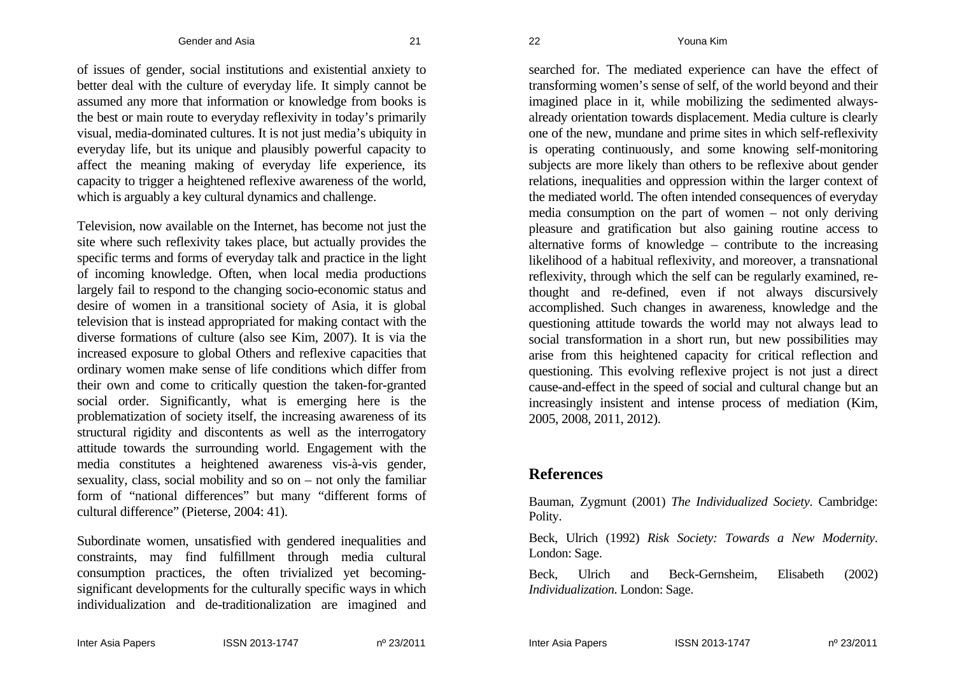of issues of gender, social institutions and existential anxiety to better deal with the culture of everyday life. It simply cannot be assumed any more that information or knowledge from books is the best or main route to everyday reflexivity in today's primarily visual, media-dominated cultures. It is not just media's ubiquity in everyday life, but its unique and plausibly powerful capacity to affect the meaning making of everyday life experience, its capacity to trigger a heightened reflexive awareness of the world, which is arguably a key cultural dynamics and challenge.

Television, now available on the Internet, has become not just the site where such reflexivity takes place, but actually provides the specific terms and forms of everyday talk and practice in the light of incoming knowledge. Often, when local media productions largely fail to respond to the changing socio-economic status and desire of women in a transitional society of Asia, it is global television that is instead appropriated for making contact with the diverse formations of culture (also see Kim, 2007). It is via the increased exposure to global Others and reflexive capacities that ordinary women make sense of life conditions which differ from their own and come to critically question the taken-for-granted social order. Significantly, what is emerging here is the problematization of society itself, the increasing awareness of its structural rigidity and discontents as well as the interrogatory attitude towards the surrounding world. Engagement with the media constitutes a heightened awareness vis-à-vis gender, sexuality, class, social mobility and so on – not only the familiar form of "national differences" but many "different forms of cultural difference" (Pieterse, 2004: 41).

Subordinate women, unsatisfied with gendered inequalities and constraints, may find fulfillment through media cultural consumption practices, the often trivialized yet becomingsignificant developments for the culturally specific ways in which individualization and de-traditionalization are imagined and searched for. The mediated experience can have the effect of transforming women's sense of self, of the world beyond and their imagined place in it, while mobilizing the sedimented alwaysalready orientation towards displacement. Media culture is clearly one of the new, mundane and prime sites in which self-reflexivity is operating continuously, and some knowing self-monitoring subjects are more likely than others to be reflexive about gender relations, inequalities and oppression within the larger context of the mediated world. The often intended consequences of everyday media consumption on the part of women – not only deriving pleasure and gratification but also gaining routine access to alternative forms of knowledge – contribute to the increasing likelihood of a habitual reflexivity, and moreover, a transnational reflexivity, through which the self can be regularly examined, rethought and re-defined, even if not always discursively accomplished. Such changes in awareness, knowledge and the questioning attitude towards the world may not always lead to social transformation in a short run, but new possibilities may arise from this heightened capacity for critical reflection and questioning. This evolving reflexive project is not just a direct cause-and-effect in the speed of social and cultural change but an increasingly insistent and intense process of mediation (Kim, 2005, 2008, 2011, 2012).

#### **References**

Bauman, Zygmunt (2001) *The Individualized Society*. Cambridge: Polity.

Beck, Ulrich (1992) *Risk Society: Towards a New Modernity*. London: Sage.

Beck, Ulrich and Beck-Gernsheim, Elisabeth (2002) *Individualization*. London: Sage.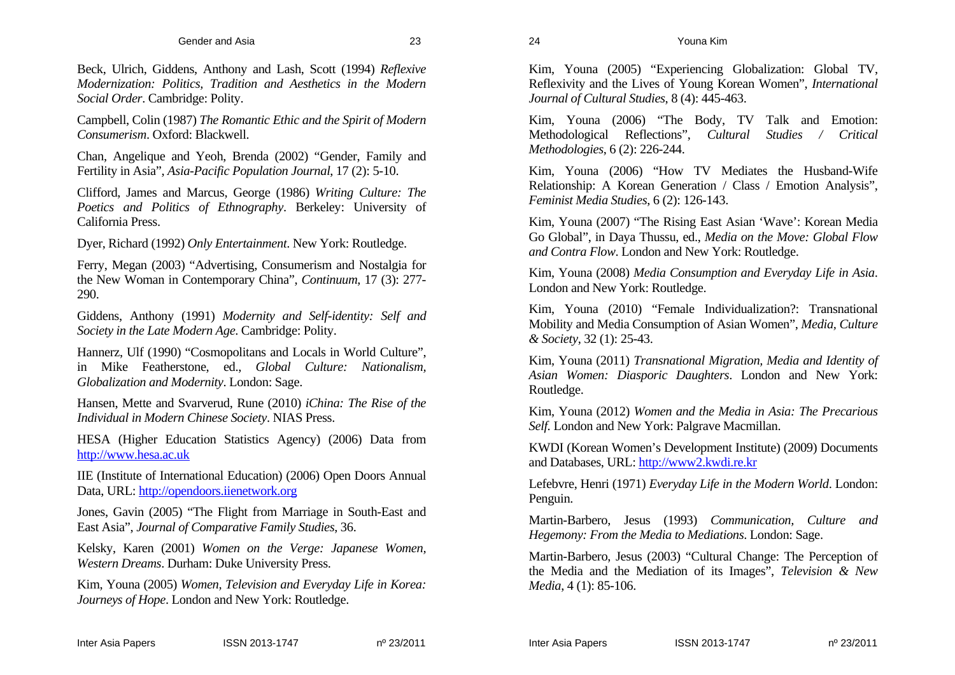Beck, Ulrich, Giddens, Anthony and Lash, Scott (1994) *Reflexive Modernization: Politics, Tradition and Aesthetics in the Modern Social Order*. Cambridge: Polity.

Campbell, Colin (1987) *The Romantic Ethic and the Spirit of Modern Consumerism*. Oxford: Blackwell.

Chan, Angelique and Yeoh, Brenda (2002) "Gender, Family and Fertility in Asia", *Asia-Pacific Population Journal*, 17 (2): 5-10.

Clifford, James and Marcus, George (1986) *Writing Culture: The Poetics and Politics of Ethnography*. Berkeley: University of California Press.

Dyer, Richard (1992) *Only Entertainment*. New York: Routledge.

Ferry, Megan (2003) "Advertising, Consumerism and Nostalgia for the New Woman in Contemporary China", *Continuum*, 17 (3): 277- 290.

Giddens, Anthony (1991) *Modernity and Self-identity: Self and Society in the Late Modern Age*. Cambridge: Polity.

Hannerz, Ulf (1990) "Cosmopolitans and Locals in World Culture", in Mike Featherstone, ed., *Global Culture: Nationalism, Globalization and Modernity*. London: Sage.

Hansen, Mette and Svarverud, Rune (2010) *iChina: The Rise of the Individual in Modern Chinese Society*. NIAS Press.

HESA (Higher Education Statistics Agency) (2006) Data from http://www.hesa.ac.uk

IIE (Institute of International Education) (2006) Open Doors Annual Data, URL: http://opendoors.iienetwork.org

Jones, Gavin (2005) "The Flight from Marriage in South-East and East Asia", *Journal of Comparative Family Studies*, 36.

Kelsky, Karen (2001) *Women on the Verge: Japanese Women, Western Dreams*. Durham: Duke University Press.

Kim, Youna (2005) *Women, Television and Everyday Life in Korea: Journeys of Hope*. London and New York: Routledge.

Kim, Youna (2005) "Experiencing Globalization: Global TV, Reflexivity and the Lives of Young Korean Women", *International Journal of Cultural Studies*, 8 (4): 445-463.

Kim, Youna (2006) "The Body, TV Talk and Emotion: Methodological Reflections", *Cultural Studies / Critical Methodologies*, 6 (2): 226-244.

Kim, Youna (2006) "How TV Mediates the Husband-Wife Relationship: A Korean Generation / Class / Emotion Analysis", *Feminist Media Studies*, 6 (2): 126-143.

Kim, Youna (2007) "The Rising East Asian 'Wave': Korean Media Go Global", in Daya Thussu, ed., *Media on the Move: Global Flow and Contra Flow*. London and New York: Routledge.

Kim, Youna (2008) *Media Consumption and Everyday Life in Asia*. London and New York: Routledge.

Kim, Youna (2010) "Female Individualization?: Transnational Mobility and Media Consumption of Asian Women", *Media, Culture & Society*, 32 (1): 25-43.

Kim, Youna (2011) *Transnational Migration, Media and Identity of Asian Women: Diasporic Daughters*. London and New York: Routledge.

Kim, Youna (2012) *Women and the Media in Asia: The Precarious Self.* London and New York: Palgrave Macmillan.

KWDI (Korean Women's Development Institute) (2009) Documents and Databases, URL: http://www2.kwdi.re.kr

Lefebvre, Henri (1971) *Everyday Life in the Modern World*. London: Penguin.

Martin-Barbero, Jesus (1993) *Communication, Culture and Hegemony: From the Media to Mediations*. London: Sage.

Martin-Barbero, Jesus (2003) "Cultural Change: The Perception of the Media and the Mediation of its Images", *Television & New Media*, 4 (1): 85-106.